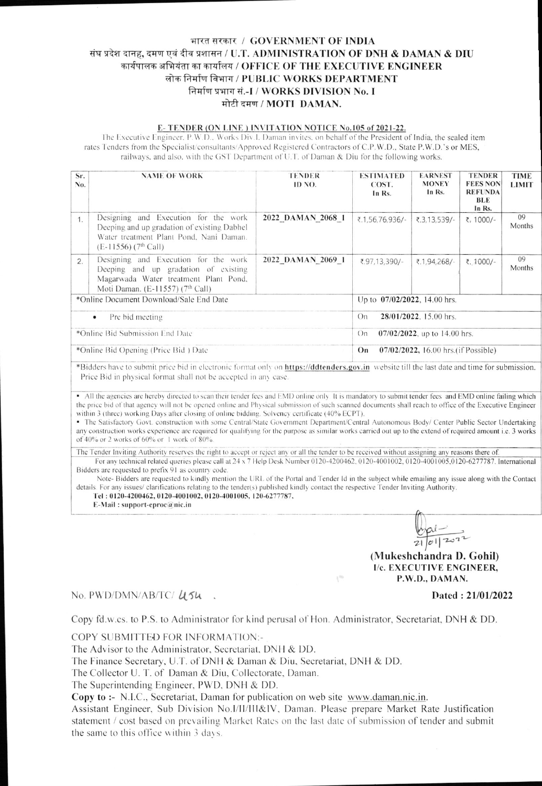## भारत सरकार / GOVERNMENT OF INDIA संघ प्रदेश दानह, दमण एवं दीव प्रशासन / U.T. ADMINISTRATION OF DNH & DAMAN & DIU कार्यपालक अभियंता का कार्यालय / OFFICE OF THE EXECUTIVE ENGINEER लोक निर्माण विभाग / PUBLIC WORKS DEPARTMENT निर्माण प्रभाग सं.-I / WORKS DIVISION No. I मोटी दमण / MOTI DAMAN.

## E-TENDER (ON LINE) INVITATION NOTICE No.105 of 2021-22.

The Executive Engineer, P.W.D., Works Div.I. Daman invites, on behalf of the President of India, the sealed item rates Tenders from the Specialist/consultants/Approved Registered Contractors of C.P.W.D., State P.W.D.'s or MES, railways, and also, with the GST Department of U.T. of Daman & Diu for the following works.

| Sr.<br>No.                           | <b>NAME OF WORK</b>                                                                                                                                                   | <b>TENDER</b><br>ID NO.      | <b>ESTIMATED</b><br>COST.<br>In Rs.        | <b>EARNEST</b><br><b>MONEY</b><br>In Rs. | <b>TENDER</b><br><b>FEES NON</b><br><b>REFUNDA</b><br><b>BLE</b><br>In Rs. | <b>TIME</b><br><b>LIMIT</b> |  |
|--------------------------------------|-----------------------------------------------------------------------------------------------------------------------------------------------------------------------|------------------------------|--------------------------------------------|------------------------------------------|----------------------------------------------------------------------------|-----------------------------|--|
| 1                                    | Designing and Execution for the work<br>Deeping and up gradation of existing Dabhel<br>Water treatment Plant Pond, Nani Daman.<br>$(E-11556)$ (7 <sup>th</sup> Call)  | 2022 DAMAN 2068 1            | ₹.1,56,76,936/-                            | ₹.3,13,539/-                             | ₹, 1000/-                                                                  | 09<br>Months                |  |
| 2.                                   | Designing and Execution for the work<br>Deeping and up gradation of existing<br>Magarwada Water treatment Plant Pond,<br>Moti Daman. (E-11557) (7 <sup>th</sup> Call) | 2022 DAMAN 2069 1            | ₹.97,13,390/-                              | ₹.1,94,268/-                             | ₹. 1000/-                                                                  | 09<br>Months                |  |
|                                      | *Online Document Download/Sale End Date                                                                                                                               | Up to 07/02/2022, 14.00 hrs. |                                            |                                          |                                                                            |                             |  |
| Pre bid meeting<br>$\bullet$         |                                                                                                                                                                       |                              | 28/01/2022, 15.00 hrs.<br>On               |                                          |                                                                            |                             |  |
| *Online Bid Submission End Date      |                                                                                                                                                                       |                              | $07/02/2022$ , up to 14.00 hrs.<br>On      |                                          |                                                                            |                             |  |
| *Online Bid Opening (Price Bid) Date |                                                                                                                                                                       |                              | 07/02/2022, 16.00 hrs. (if Possible)<br>On |                                          |                                                                            |                             |  |
|                                      | *Diddens hous to submit price hid in slectronic format only on https://ddtanders.gov.in, wabsite till the lest date and time for submission                           |                              |                                            |                                          |                                                                            |                             |  |

Bidders have to submit price bid in electronic format only on **https://ddtenders.gov.in** website till the last date and time for submission. Price Bid in physical format shall not be accepted in any case.

• All the agencies are hereby directed to scan their tender fees and EMD online only. It is mandatory to submit tender fees and EMD online failing which the price bid of that agency will not be opened online and Physical submission of such scanned documents shall reach to office of the Executive Engineer within 3 (three) working Days after closing of online bidding. Solvency certificate (40% ECPT).

· The Satisfactory Govt. construction with some Central/State Government Department/Central Autonomous Body/ Center Public Sector Undertaking any construction works experience are required for qualifying for the purpose as similar works carried out up to the extend of required amount i.e. 3 works of 40% or 2 works of 60% or 1 work of 80%

The Tender Inviting Authority reserves the right to accept or reject any or all the tender to be received without assigning any reasons there of

For any technical related queries please call at 24 x 7 Help Desk Number 0120-4200462, 0120-4001002, 0120-4001005,0120-6277787. International Bidders are requested to prefix 91 as country code.

Note-Bidders are requested to kindly mention the URL of the Portal and Tender Id in the subject while emailing any issue along with the Contact details. For any issues/ clarifications relating to the tender(s) published kindly contact the respective Tender Inviting Authority

 $\chi^{(0)}$ 

Tel: 0120-4200462, 0120-4001002, 0120-4001005, 120-6277787, E-Mail: support-eproc $@$ nic.in

(Mukeshchandra D. Gohil) I/c. EXECUTIVE ENGINEER, P.W.D., DAMAN.

## No. PWD/DMN/AB/TC/ USU

Dated: 21/01/2022

Copy fd.w.cs. to P.S. to Administrator for kind perusal of Hon. Administrator, Secretariat, DNH & DD.

COPY SUBMITTED FOR INFORMATION:-

The Advisor to the Administrator, Secretariat, DNH & DD.

The Finance Secretary, U.T. of DNH & Daman & Diu, Secretariat, DNH & DD.

The Collector U. T. of Daman & Diu, Collectorate, Daman.

The Superintending Engineer, PWD, DNH & DD.

Copy to :- N.I.C., Secretariat, Daman for publication on web site www.daman.nic.in.

Assistant Engineer, Sub Division No.I/II/III&IV, Daman. Please prepare Market Rate Justification statement / cost based on prevailing Market Rates on the last date of submission of tender and submit the same to this office within 3 days.